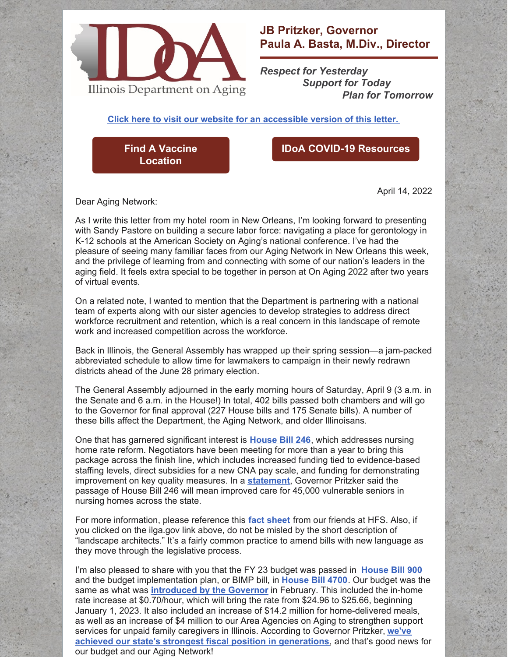

## **JB Pritzker, Governor Paula A. Basta, M.Div., Director**

*Respect for Yesterday Support for Today Plan for Tomorrow*

**Click here to visit our website for an [accessible](https://www2.illinois.gov/aging/AboutUs/Pages/Messages-from-the-Director.aspx) version of this letter.**

**Find A Vaccine [Location](https://coronavirus.illinois.gov/s/vaccination-location)**

## **IDoA COVID-19 [Resources](https://www2.illinois.gov/aging/Coronavirus/Vaccine/Pages/default.aspx)**

April 14, 2022

Dear Aging Network:

As I write this letter from my hotel room in New Orleans, I'm looking forward to presenting with Sandy Pastore on building a secure labor force: navigating a place for gerontology in K-12 schools at the American Society on Aging's national conference. I've had the pleasure of seeing many familiar faces from our Aging Network in New Orleans this week, and the privilege of learning from and connecting with some of our nation's leaders in the aging field. It feels extra special to be together in person at On Aging 2022 after two years of virtual events.

On a related note, I wanted to mention that the Department is partnering with a national team of experts along with our sister agencies to develop strategies to address direct workforce recruitment and retention, which is a real concern in this landscape of remote work and increased competition across the workforce.

Back in Illinois, the General Assembly has wrapped up their spring session—a jam-packed abbreviated schedule to allow time for lawmakers to campaign in their newly redrawn districts ahead of the June 28 primary election.

The General Assembly adjourned in the early morning hours of Saturday, April 9 (3 a.m. in the Senate and 6 a.m. in the House!) In total, 402 bills passed both chambers and will go to the Governor for final approval (227 House bills and 175 Senate bills). A number of these bills affect the Department, the Aging Network, and older Illinoisans.

One that has garnered significant interest is **[House](https://www.ilga.gov/legislation/billstatus.asp?DocNum=246&GAID=16&GA=102&DocTypeID=HB&LegID=128124&SessionID=110) Bill 246**, which addresses nursing home rate reform. Negotiators have been meeting for more than a year to bring this package across the finish line, which includes increased funding tied to evidence-based staffing levels, direct subsidies for a new CNA pay scale, and funding for demonstrating improvement on key quality measures. In a **[statement](https://www.illinois.gov/news/press-release.24740.html)**, Governor Pritzker said the passage of House Bill 246 will mean improved care for 45,000 vulnerable seniors in nursing homes across the state.

For more information, please reference this **fact [sheet](https://files.constantcontact.com/eeb100c1801/53915eeb-fbd3-4640-84fe-3ac7f4c86a98.pdf)** from our friends at HFS. Also, if you clicked on the ilga.gov link above, do not be misled by the short description of "landscape architects." It's a fairly common practice to amend bills with new language as they move through the legislative process.

I'm also pleased to share with you that the FY 23 budget was passed in **[House](https://www.ilga.gov/legislation/billstatus.asp?DocNum=900&GAID=16&GA=102&DocTypeID=HB&LegID=129558&SessionID=110) Bill 900** and the budget implementation plan, or BIMP bill, in **[House](https://www.ilga.gov/legislation/billstatus.asp?DocNum=4700&GAID=16&GA=102&DocTypeID=HB&LegID=138945&SessionID=110) Bill 4700**. Our budget was the same as what was **[introduced](https://multimedia.illinois.gov/hhs/FY23-HHS-Budget-Briefing-020222.html) by the Governor** in February. This included the in-home rate increase at \$0.70/hour, which will bring the rate from \$24.96 to \$25.66, beginning January 1, 2023. It also included an increase of \$14.2 million for home-delivered meals, as well as an increase of \$4 million to our Area Agencies on Aging to strengthen support services for unpaid family caregivers in Illinois. According to Governor Pritzker, **we've achieved our state's strongest fiscal position in [generations](https://www.illinois.gov/news/press-release.24741.html)**, and that's good news for our budget and our Aging Network!